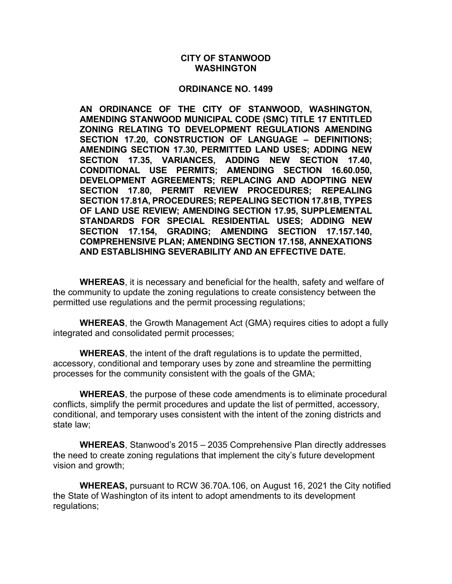### **CITY OF STANWOOD WASHINGTON**

#### **ORDINANCE NO. 1499**

**AN ORDINANCE OF THE CITY OF STANWOOD, WASHINGTON, AMENDING STANWOOD MUNICIPAL CODE (SMC) TITLE 17 ENTITLED ZONING RELATING TO DEVELOPMENT REGULATIONS AMENDING SECTION 17.20, CONSTRUCTION OF LANGUAGE – DEFINITIONS; AMENDING SECTION 17.30, PERMITTED LAND USES; ADDING NEW SECTION 17.35, VARIANCES, ADDING NEW SECTION 17.40, CONDITIONAL USE PERMITS; AMENDING SECTION 16.60.050, DEVELOPMENT AGREEMENTS; REPLACING AND ADOPTING NEW SECTION 17.80, PERMIT REVIEW PROCEDURES; REPEALING SECTION 17.81A, PROCEDURES; REPEALING SECTION 17.81B, TYPES OF LAND USE REVIEW; AMENDING SECTION 17.95, SUPPLEMENTAL STANDARDS FOR SPECIAL RESIDENTIAL USES; ADDING NEW SECTION 17.154, GRADING; AMENDING SECTION 17.157.140, COMPREHENSIVE PLAN; AMENDING SECTION 17.158, ANNEXATIONS AND ESTABLISHING SEVERABILITY AND AN EFFECTIVE DATE.**

**WHEREAS**, it is necessary and beneficial for the health, safety and welfare of the community to update the zoning regulations to create consistency between the permitted use regulations and the permit processing regulations;

**WHEREAS**, the Growth Management Act (GMA) requires cities to adopt a fully integrated and consolidated permit processes;

**WHEREAS**, the intent of the draft regulations is to update the permitted, accessory, conditional and temporary uses by zone and streamline the permitting processes for the community consistent with the goals of the GMA;

**WHEREAS**, the purpose of these code amendments is to eliminate procedural conflicts, simplify the permit procedures and update the list of permitted, accessory, conditional, and temporary uses consistent with the intent of the zoning districts and state law;

**WHEREAS**, Stanwood's 2015 – 2035 Comprehensive Plan directly addresses the need to create zoning regulations that implement the city's future development vision and growth;

**WHEREAS,** pursuant to RCW 36.70A.106, on August 16, 2021 the City notified the State of Washington of its intent to adopt amendments to its development regulations;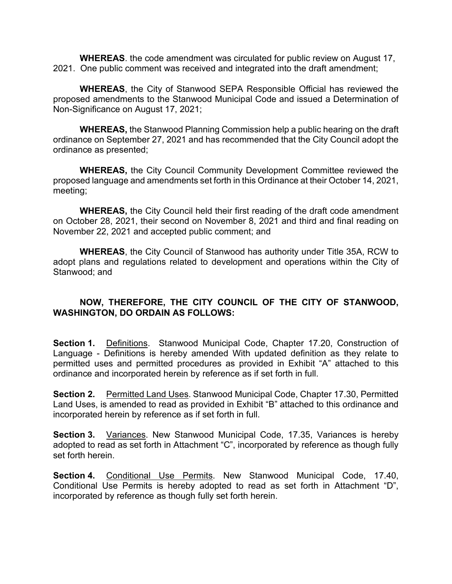**WHEREAS**. the code amendment was circulated for public review on August 17, 2021. One public comment was received and integrated into the draft amendment;

**WHEREAS**, the City of Stanwood SEPA Responsible Official has reviewed the proposed amendments to the Stanwood Municipal Code and issued a Determination of Non-Significance on August 17, 2021;

**WHEREAS,** the Stanwood Planning Commission help a public hearing on the draft ordinance on September 27, 2021 and has recommended that the City Council adopt the ordinance as presented;

**WHEREAS,** the City Council Community Development Committee reviewed the proposed language and amendments set forth in this Ordinance at their October 14, 2021, meeting;

**WHEREAS,** the City Council held their first reading of the draft code amendment on October 28, 2021, their second on November 8, 2021 and third and final reading on November 22, 2021 and accepted public comment; and

**WHEREAS**, the City Council of Stanwood has authority under Title 35A, RCW to adopt plans and regulations related to development and operations within the City of Stanwood; and

## **NOW, THEREFORE, THE CITY COUNCIL OF THE CITY OF STANWOOD, WASHINGTON, DO ORDAIN AS FOLLOWS:**

**Section 1.** Definitions.Stanwood Municipal Code, Chapter 17.20, Construction of Language - Definitions is hereby amended With updated definition as they relate to permitted uses and permitted procedures as provided in Exhibit "A" attached to this ordinance and incorporated herein by reference as if set forth in full.

**Section 2.** Permitted Land Uses. Stanwood Municipal Code, Chapter 17.30, Permitted Land Uses, is amended to read as provided in Exhibit "B" attached to this ordinance and incorporated herein by reference as if set forth in full.

**Section 3.** Variances. New Stanwood Municipal Code, 17.35, Variances is hereby adopted to read as set forth in Attachment "C", incorporated by reference as though fully set forth herein.

**Section 4.** Conditional Use Permits. New Stanwood Municipal Code, 17.40, Conditional Use Permits is hereby adopted to read as set forth in Attachment "D", incorporated by reference as though fully set forth herein.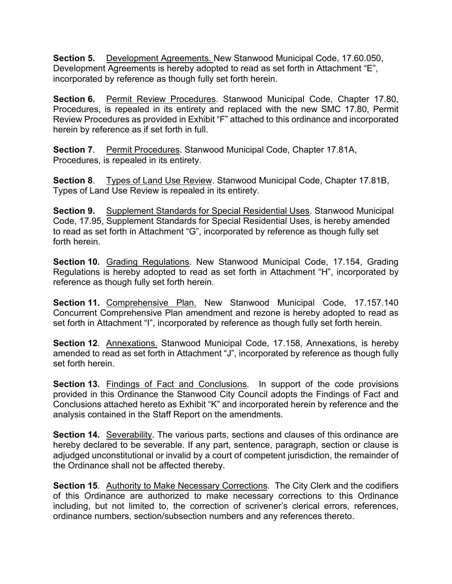**Section 5.** Development Agreements. New Stanwood Municipal Code, 17.60.050, Development Agreements is hereby adopted to read as set forth in Attachment "E", incorporated by reference as though fully set forth herein.

**Section 6.** Permit Review Procedures. Stanwood Municipal Code, Chapter 17.80, Procedures, is repealed in its entirety and replaced with the new SMC 17.80, Permit Review Procedures as provided in Exhibit "F" attached to this ordinance and incorporated herein by reference as if set forth in full.

**Section 7**. Permit Procedures. Stanwood Municipal Code, Chapter 17.81A, Procedures, is repealed in its entirety.

**Section 8**. Types of Land Use Review. Stanwood Municipal Code, Chapter 17.81B, Types of Land Use Review is repealed in its entirety.

**Section 9.** Supplement Standards for Special Residential Uses. Stanwood Municipal Code, 17.95, Supplement Standards for Special Residential Uses, is hereby amended to read as set forth in Attachment "G", incorporated by reference as though fully set forth herein.

**Section 10.** Grading Regulations. New Stanwood Municipal Code, 17.154, Grading Regulations is hereby adopted to read as set forth in Attachment "H", incorporated by reference as though fully set forth herein.

**Section 11.** Comprehensive Plan. New Stanwood Municipal Code, 17.157.140 Concurrent Comprehensive Plan amendment and rezone is hereby adopted to read as set forth in Attachment "I", incorporated by reference as though fully set forth herein.

**Section 12**. Annexations. Stanwood Municipal Code, 17.158, Annexations, is hereby amended to read as set forth in Attachment "J", incorporated by reference as though fully set forth herein.

**Section 13.** Findings of Fact and Conclusions. In support of the code provisions provided in this Ordinance the Stanwood City Council adopts the Findings of Fact and Conclusions attached hereto as Exhibit "K" and incorporated herein by reference and the analysis contained in the Staff Report on the amendments.

**Section 14.** Severability. The various parts, sections and clauses of this ordinance are hereby declared to be severable. If any part, sentence, paragraph, section or clause is adjudged unconstitutional or invalid by a court of competent jurisdiction, the remainder of the Ordinance shall not be affected thereby.

**Section 15.** Authority to Make Necessary Corrections. The City Clerk and the codifiers of this Ordinance are authorized to make necessary corrections to this Ordinance including, but not limited to, the correction of scrivener's clerical errors, references, ordinance numbers, section/subsection numbers and any references thereto.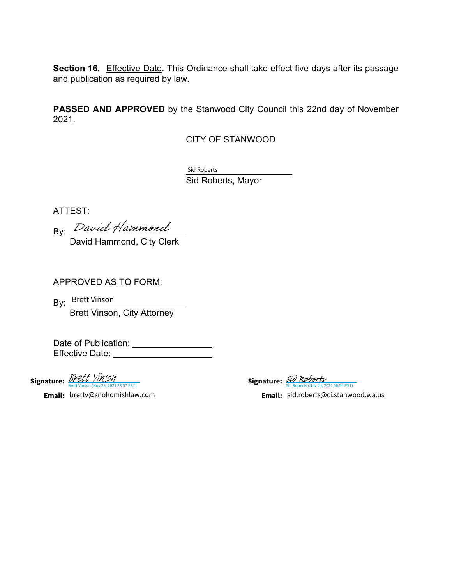**Section 16.** Effective Date. This Ordinance shall take effect five days after its passage and publication as required by law.

**PASSED AND APPROVED** by the Stanwood City Council this 22nd day of November 2021.

CITY OF STANWOOD

Sid Roberts, Mayor Sid Roberts

ATTEST:

By:

David Hammond, City Clerk

APPROVED AS TO FORM:

By: Brett Vinson Brett Vinson, City Attorney Brett Vinson<br>Brett Vinson, City Atto<br>e of Publication:<br>ctive Date:<br>*Brett Vinson (Nov* 23, 2021 23:57 EST)<br>brettv@snohomishlaw.com

Date of Publication: Effective Date:

**Signature:**  $\frac{DFBULV/MIJVI}{Brett Vinson (Nov 23, 2021 23:57 EST)}$ [Brett Vinson](https://na2.documents.adobe.com/verifier?tx=CBJCHBCAABAAO6qJ_Cg9eV_JUs4F_myvrBfpcxMSX9Ff)

**Email:** brettv@snohomishlaw.com

**Signature:** *SU KODerts*<br>[Sid Roberts \(Nov 24, 2021 06:54 PST\)](https://na2.documents.adobe.com/verifier?tx=CBJCHBCAABAAO6qJ_Cg9eV_JUs4F_myvrBfpcxMSX9Ff) Sid Roberts

**Email:** sid.roberts@ci.stanwood.wa.us